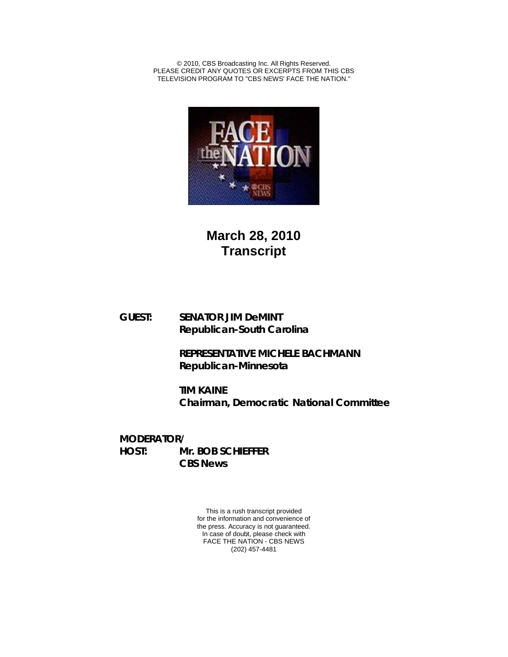© 2010, CBS Broadcasting Inc. All Rights Reserved. PLEASE CREDIT ANY QUOTES OR EXCERPTS FROM THIS CBS TELEVISION PROGRAM TO "CBS NEWS' FACE THE NATION."



**March 28, 2010 Transcript**

**GUEST: SENATOR JIM DeMINT Republican-South Carolina**

> **REPRESENTATIVE MICHELE BACHMANN Republican-Minnesota**

**TIM KAINE Chairman, Democratic National Committee**

**MODERATOR/ HOST: Mr. BOB SCHIEFFER CBS News**

> This is a rush transcript provided for the information and convenience of the press. Accuracy is not guaranteed. In case of doubt, please check with FACE THE NATION - CBS NEWS (202) 457-4481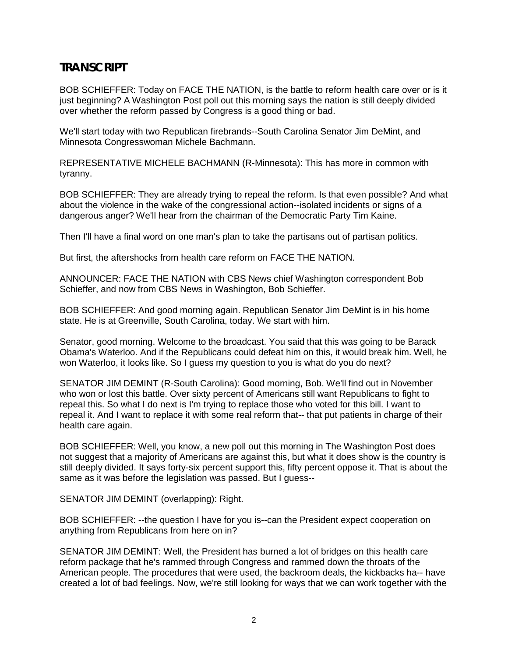## **TRANSCRIPT**

BOB SCHIEFFER: Today on FACE THE NATION, is the battle to reform health care over or is it just beginning? A Washington Post poll out this morning says the nation is still deeply divided over whether the reform passed by Congress is a good thing or bad.

We'll start today with two Republican firebrands--South Carolina Senator Jim DeMint, and Minnesota Congresswoman Michele Bachmann.

REPRESENTATIVE MICHELE BACHMANN (R-Minnesota): This has more in common with tyranny.

BOB SCHIEFFER: They are already trying to repeal the reform. Is that even possible? And what about the violence in the wake of the congressional action--isolated incidents or signs of a dangerous anger? We'll hear from the chairman of the Democratic Party Tim Kaine.

Then I'll have a final word on one man's plan to take the partisans out of partisan politics.

But first, the aftershocks from health care reform on FACE THE NATION.

ANNOUNCER: FACE THE NATION with CBS News chief Washington correspondent Bob Schieffer, and now from CBS News in Washington, Bob Schieffer.

BOB SCHIEFFER: And good morning again. Republican Senator Jim DeMint is in his home state. He is at Greenville, South Carolina, today. We start with him.

Senator, good morning. Welcome to the broadcast. You said that this was going to be Barack Obama's Waterloo. And if the Republicans could defeat him on this, it would break him. Well, he won Waterloo, it looks like. So I guess my question to you is what do you do next?

SENATOR JIM DEMINT (R-South Carolina): Good morning, Bob. We'll find out in November who won or lost this battle. Over sixty percent of Americans still want Republicans to fight to repeal this. So what I do next is I'm trying to replace those who voted for this bill. I want to repeal it. And I want to replace it with some real reform that-- that put patients in charge of their health care again.

BOB SCHIEFFER: Well, you know, a new poll out this morning in The Washington Post does not suggest that a majority of Americans are against this, but what it does show is the country is still deeply divided. It says forty-six percent support this, fifty percent oppose it. That is about the same as it was before the legislation was passed. But I guess--

SENATOR JIM DEMINT (overlapping): Right.

BOB SCHIEFFER: --the question I have for you is--can the President expect cooperation on anything from Republicans from here on in?

SENATOR JIM DEMINT: Well, the President has burned a lot of bridges on this health care reform package that he's rammed through Congress and rammed down the throats of the American people. The procedures that were used, the backroom deals, the kickbacks ha-- have created a lot of bad feelings. Now, we're still looking for ways that we can work together with the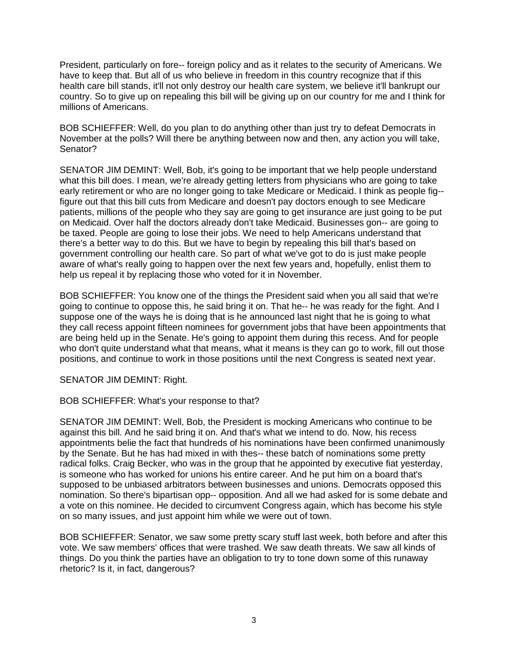President, particularly on fore-- foreign policy and as it relates to the security of Americans. We have to keep that. But all of us who believe in freedom in this country recognize that if this health care bill stands, it'll not only destroy our health care system, we believe it'll bankrupt our country. So to give up on repealing this bill will be giving up on our country for me and I think for millions of Americans.

BOB SCHIEFFER: Well, do you plan to do anything other than just try to defeat Democrats in November at the polls? Will there be anything between now and then, any action you will take, Senator?

SENATOR JIM DEMINT: Well, Bob, it's going to be important that we help people understand what this bill does. I mean, we're already getting letters from physicians who are going to take early retirement or who are no longer going to take Medicare or Medicaid. I think as people fig- figure out that this bill cuts from Medicare and doesn't pay doctors enough to see Medicare patients, millions of the people who they say are going to get insurance are just going to be put on Medicaid. Over half the doctors already don't take Medicaid. Businesses gon-- are going to be taxed. People are going to lose their jobs. We need to help Americans understand that there's a better way to do this. But we have to begin by repealing this bill that's based on government controlling our health care. So part of what we've got to do is just make people aware of what's really going to happen over the next few years and, hopefully, enlist them to help us repeal it by replacing those who voted for it in November.

BOB SCHIEFFER: You know one of the things the President said when you all said that we're going to continue to oppose this, he said bring it on. That he-- he was ready for the fight. And I suppose one of the ways he is doing that is he announced last night that he is going to what they call recess appoint fifteen nominees for government jobs that have been appointments that are being held up in the Senate. He's going to appoint them during this recess. And for people who don't quite understand what that means, what it means is they can go to work, fill out those positions, and continue to work in those positions until the next Congress is seated next year.

SENATOR JIM DEMINT: Right.

BOB SCHIEFFER: What's your response to that?

SENATOR JIM DEMINT: Well, Bob, the President is mocking Americans who continue to be against this bill. And he said bring it on. And that's what we intend to do. Now, his recess appointments belie the fact that hundreds of his nominations have been confirmed unanimously by the Senate. But he has had mixed in with thes-- these batch of nominations some pretty radical folks. Craig Becker, who was in the group that he appointed by executive fiat yesterday, is someone who has worked for unions his entire career. And he put him on a board that's supposed to be unbiased arbitrators between businesses and unions. Democrats opposed this nomination. So there's bipartisan opp-- opposition. And all we had asked for is some debate and a vote on this nominee. He decided to circumvent Congress again, which has become his style on so many issues, and just appoint him while we were out of town.

BOB SCHIEFFER: Senator, we saw some pretty scary stuff last week, both before and after this vote. We saw members' offices that were trashed. We saw death threats. We saw all kinds of things. Do you think the parties have an obligation to try to tone down some of this runaway rhetoric? Is it, in fact, dangerous?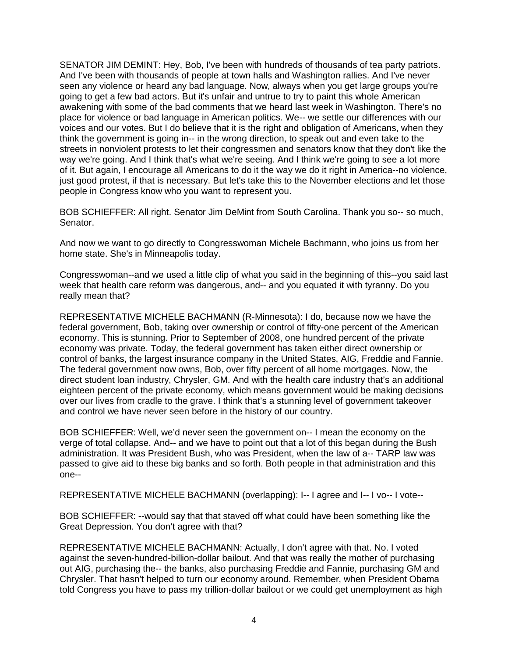SENATOR JIM DEMINT: Hey, Bob, I've been with hundreds of thousands of tea party patriots. And I've been with thousands of people at town halls and Washington rallies. And I've never seen any violence or heard any bad language. Now, always when you get large groups you're going to get a few bad actors. But it's unfair and untrue to try to paint this whole American awakening with some of the bad comments that we heard last week in Washington. There's no place for violence or bad language in American politics. We-- we settle our differences with our voices and our votes. But I do believe that it is the right and obligation of Americans, when they think the government is going in-- in the wrong direction, to speak out and even take to the streets in nonviolent protests to let their congressmen and senators know that they don't like the way we're going. And I think that's what we're seeing. And I think we're going to see a lot more of it. But again, I encourage all Americans to do it the way we do it right in America--no violence, just good protest, if that is necessary. But let's take this to the November elections and let those people in Congress know who you want to represent you.

BOB SCHIEFFER: All right. Senator Jim DeMint from South Carolina. Thank you so-- so much, Senator.

And now we want to go directly to Congresswoman Michele Bachmann, who joins us from her home state. She's in Minneapolis today.

Congresswoman--and we used a little clip of what you said in the beginning of this--you said last week that health care reform was dangerous, and-- and you equated it with tyranny. Do you really mean that?

REPRESENTATIVE MICHELE BACHMANN (R-Minnesota): I do, because now we have the federal government, Bob, taking over ownership or control of fifty-one percent of the American economy. This is stunning. Prior to September of 2008, one hundred percent of the private economy was private. Today, the federal government has taken either direct ownership or control of banks, the largest insurance company in the United States, AIG, Freddie and Fannie. The federal government now owns, Bob, over fifty percent of all home mortgages. Now, the direct student loan industry, Chrysler, GM. And with the health care industry that's an additional eighteen percent of the private economy, which means government would be making decisions over our lives from cradle to the grave. I think that's a stunning level of government takeover and control we have never seen before in the history of our country.

BOB SCHIEFFER: Well, we'd never seen the government on-- I mean the economy on the verge of total collapse. And-- and we have to point out that a lot of this began during the Bush administration. It was President Bush, who was President, when the law of a-- TARP law was passed to give aid to these big banks and so forth. Both people in that administration and this one--

REPRESENTATIVE MICHELE BACHMANN (overlapping): I-- I agree and I-- I vo-- I vote--

BOB SCHIEFFER: --would say that that staved off what could have been something like the Great Depression. You don't agree with that?

REPRESENTATIVE MICHELE BACHMANN: Actually, I don't agree with that. No. I voted against the seven-hundred-billion-dollar bailout. And that was really the mother of purchasing out AIG, purchasing the-- the banks, also purchasing Freddie and Fannie, purchasing GM and Chrysler. That hasn't helped to turn our economy around. Remember, when President Obama told Congress you have to pass my trillion-dollar bailout or we could get unemployment as high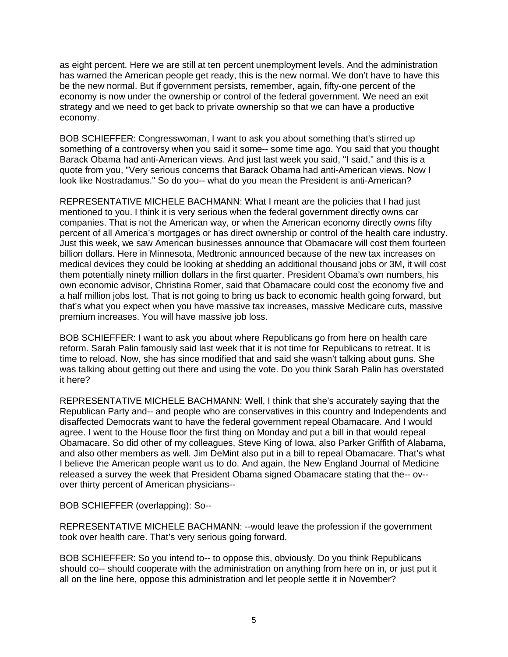as eight percent. Here we are still at ten percent unemployment levels. And the administration has warned the American people get ready, this is the new normal. We don't have to have this be the new normal. But if government persists, remember, again, fifty-one percent of the economy is now under the ownership or control of the federal government. We need an exit strategy and we need to get back to private ownership so that we can have a productive economy.

BOB SCHIEFFER: Congresswoman, I want to ask you about something that's stirred up something of a controversy when you said it some-- some time ago. You said that you thought Barack Obama had anti-American views. And just last week you said, "I said," and this is a quote from you, "Very serious concerns that Barack Obama had anti-American views. Now I look like Nostradamus." So do you-- what do you mean the President is anti-American?

REPRESENTATIVE MICHELE BACHMANN: What I meant are the policies that I had just mentioned to you. I think it is very serious when the federal government directly owns car companies. That is not the American way, or when the American economy directly owns fifty percent of all America's mortgages or has direct ownership or control of the health care industry. Just this week, we saw American businesses announce that Obamacare will cost them fourteen billion dollars. Here in Minnesota, Medtronic announced because of the new tax increases on medical devices they could be looking at shedding an additional thousand jobs or 3M, it will cost them potentially ninety million dollars in the first quarter. President Obama's own numbers, his own economic advisor, Christina Romer, said that Obamacare could cost the economy five and a half million jobs lost. That is not going to bring us back to economic health going forward, but that's what you expect when you have massive tax increases, massive Medicare cuts, massive premium increases. You will have massive job loss.

BOB SCHIEFFER: I want to ask you about where Republicans go from here on health care reform. Sarah Palin famously said last week that it is not time for Republicans to retreat. It is time to reload. Now, she has since modified that and said she wasn't talking about guns. She was talking about getting out there and using the vote. Do you think Sarah Palin has overstated it here?

REPRESENTATIVE MICHELE BACHMANN: Well, I think that she's accurately saying that the Republican Party and-- and people who are conservatives in this country and Independents and disaffected Democrats want to have the federal government repeal Obamacare. And I would agree. I went to the House floor the first thing on Monday and put a bill in that would repeal Obamacare. So did other of my colleagues, Steve King of Iowa, also Parker Griffith of Alabama, and also other members as well. Jim DeMint also put in a bill to repeal Obamacare. That's what I believe the American people want us to do. And again, the New England Journal of Medicine released a survey the week that President Obama signed Obamacare stating that the-- ov- over thirty percent of American physicians--

BOB SCHIEFFER (overlapping): So--

REPRESENTATIVE MICHELE BACHMANN: --would leave the profession if the government took over health care. That's very serious going forward.

BOB SCHIEFFER: So you intend to-- to oppose this, obviously. Do you think Republicans should co-- should cooperate with the administration on anything from here on in, or just put it all on the line here, oppose this administration and let people settle it in November?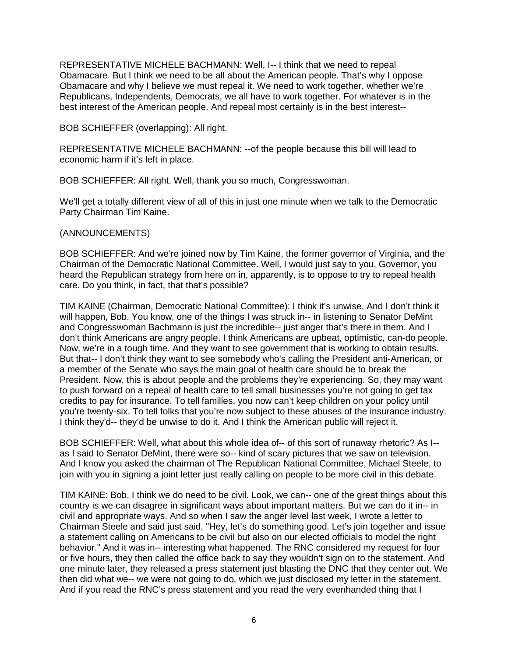REPRESENTATIVE MICHELE BACHMANN: Well, I-- I think that we need to repeal Obamacare. But I think we need to be all about the American people. That's why I oppose Obamacare and why I believe we must repeal it. We need to work together, whether we're Republicans, Independents, Democrats, we all have to work together. For whatever is in the best interest of the American people. And repeal most certainly is in the best interest--

BOB SCHIEFFER (overlapping): All right.

REPRESENTATIVE MICHELE BACHMANN: --of the people because this bill will lead to economic harm if it's left in place.

BOB SCHIEFFER: All right. Well, thank you so much, Congresswoman.

We'll get a totally different view of all of this in just one minute when we talk to the Democratic Party Chairman Tim Kaine.

## (ANNOUNCEMENTS)

BOB SCHIEFFER: And we're joined now by Tim Kaine, the former governor of Virginia, and the Chairman of the Democratic National Committee. Well, I would just say to you, Governor, you heard the Republican strategy from here on in, apparently, is to oppose to try to repeal health care. Do you think, in fact, that that's possible?

TIM KAINE (Chairman, Democratic National Committee): I think it's unwise. And I don't think it will happen, Bob. You know, one of the things I was struck in-- in listening to Senator DeMint and Congresswoman Bachmann is just the incredible-- just anger that's there in them. And I don't think Americans are angry people. I think Americans are upbeat, optimistic, can-do people. Now, we're in a tough time. And they want to see government that is working to obtain results. But that-- I don't think they want to see somebody who's calling the President anti-American, or a member of the Senate who says the main goal of health care should be to break the President. Now, this is about people and the problems they're experiencing. So, they may want to push forward on a repeal of health care to tell small businesses you're not going to get tax credits to pay for insurance. To tell families, you now can't keep children on your policy until you're twenty-six. To tell folks that you're now subject to these abuses of the insurance industry. I think they'd-- they'd be unwise to do it. And I think the American public will reject it.

BOB SCHIEFFER: Well, what about this whole idea of-- of this sort of runaway rhetoric? As I- as I said to Senator DeMint, there were so-- kind of scary pictures that we saw on television. And I know you asked the chairman of The Republican National Committee, Michael Steele, to join with you in signing a joint letter just really calling on people to be more civil in this debate.

TIM KAINE: Bob, I think we do need to be civil. Look, we can-- one of the great things about this country is we can disagree in significant ways about important matters. But we can do it in-- in civil and appropriate ways. And so when I saw the anger level last week, I wrote a letter to Chairman Steele and said just said, "Hey, let's do something good. Let's join together and issue a statement calling on Americans to be civil but also on our elected officials to model the right behavior." And it was in-- interesting what happened. The RNC considered my request for four or five hours, they then called the office back to say they wouldn't sign on to the statement. And one minute later, they released a press statement just blasting the DNC that they center out. We then did what we-- we were not going to do, which we just disclosed my letter in the statement. And if you read the RNC's press statement and you read the very evenhanded thing that I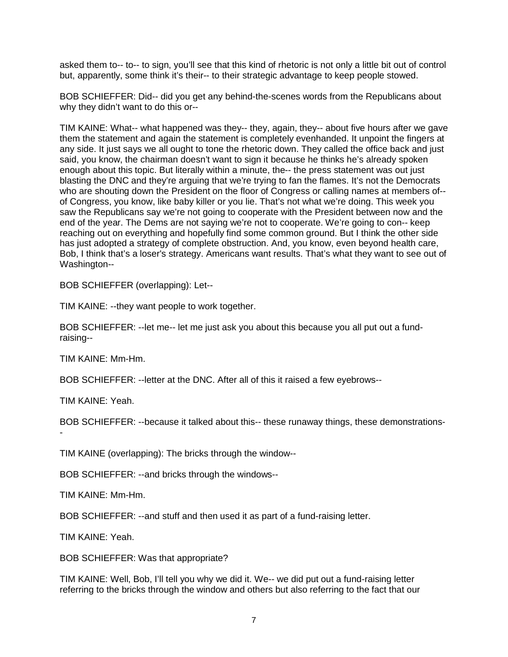asked them to-- to-- to sign, you'll see that this kind of rhetoric is not only a little bit out of control but, apparently, some think it's their-- to their strategic advantage to keep people stowed.

BOB SCHIEFFER: Did-- did you get any behind-the-scenes words from the Republicans about why they didn't want to do this or--

TIM KAINE: What-- what happened was they-- they, again, they-- about five hours after we gave them the statement and again the statement is completely evenhanded. It unpoint the fingers at any side. It just says we all ought to tone the rhetoric down. They called the office back and just said, you know, the chairman doesn't want to sign it because he thinks he's already spoken enough about this topic. But literally within a minute, the-- the press statement was out just blasting the DNC and they're arguing that we're trying to fan the flames. It's not the Democrats who are shouting down the President on the floor of Congress or calling names at members of-of Congress, you know, like baby killer or you lie. That's not what we're doing. This week you saw the Republicans say we're not going to cooperate with the President between now and the end of the year. The Dems are not saying we're not to cooperate. We're going to con-- keep reaching out on everything and hopefully find some common ground. But I think the other side has just adopted a strategy of complete obstruction. And, you know, even beyond health care, Bob, I think that's a loser's strategy. Americans want results. That's what they want to see out of Washington--

BOB SCHIEFFER (overlapping): Let--

TIM KAINE: --they want people to work together.

BOB SCHIEFFER: --let me-- let me just ask you about this because you all put out a fundraising--

TIM KAINE: Mm-Hm.

BOB SCHIEFFER: --letter at the DNC. After all of this it raised a few eyebrows--

TIM KAINE: Yeah.

BOB SCHIEFFER: --because it talked about this-- these runaway things, these demonstrations- -

TIM KAINE (overlapping): The bricks through the window--

BOB SCHIEFFER: --and bricks through the windows--

TIM KAINE: Mm-Hm.

BOB SCHIEFFER: --and stuff and then used it as part of a fund-raising letter.

TIM KAINE: Yeah.

BOB SCHIEFFER: Was that appropriate?

TIM KAINE: Well, Bob, I'll tell you why we did it. We-- we did put out a fund-raising letter referring to the bricks through the window and others but also referring to the fact that our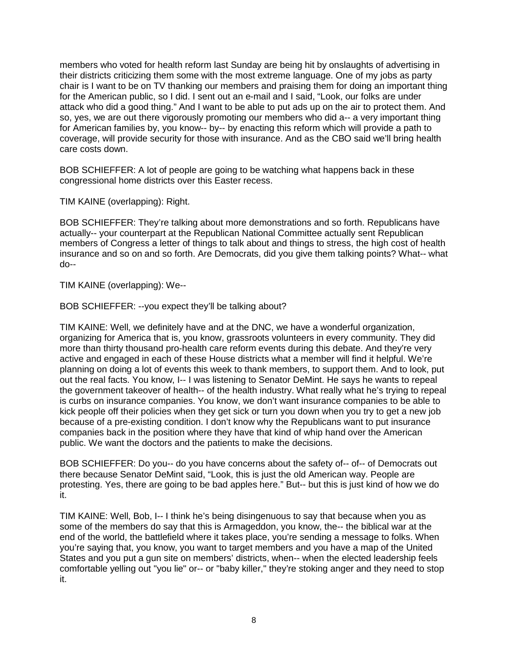members who voted for health reform last Sunday are being hit by onslaughts of advertising in their districts criticizing them some with the most extreme language. One of my jobs as party chair is I want to be on TV thanking our members and praising them for doing an important thing for the American public, so I did. I sent out an e-mail and I said, "Look, our folks are under attack who did a good thing." And I want to be able to put ads up on the air to protect them. And so, yes, we are out there vigorously promoting our members who did a-- a very important thing for American families by, you know-- by-- by enacting this reform which will provide a path to coverage, will provide security for those with insurance. And as the CBO said we'll bring health care costs down.

BOB SCHIEFFER: A lot of people are going to be watching what happens back in these congressional home districts over this Easter recess.

TIM KAINE (overlapping): Right.

BOB SCHIEFFER: They're talking about more demonstrations and so forth. Republicans have actually-- your counterpart at the Republican National Committee actually sent Republican members of Congress a letter of things to talk about and things to stress, the high cost of health insurance and so on and so forth. Are Democrats, did you give them talking points? What-- what do--

TIM KAINE (overlapping): We--

BOB SCHIEFFER: --you expect they'll be talking about?

TIM KAINE: Well, we definitely have and at the DNC, we have a wonderful organization, organizing for America that is, you know, grassroots volunteers in every community. They did more than thirty thousand pro-health care reform events during this debate. And they're very active and engaged in each of these House districts what a member will find it helpful. We're planning on doing a lot of events this week to thank members, to support them. And to look, put out the real facts. You know, I-- I was listening to Senator DeMint. He says he wants to repeal the government takeover of health-- of the health industry. What really what he's trying to repeal is curbs on insurance companies. You know, we don't want insurance companies to be able to kick people off their policies when they get sick or turn you down when you try to get a new job because of a pre-existing condition. I don't know why the Republicans want to put insurance companies back in the position where they have that kind of whip hand over the American public. We want the doctors and the patients to make the decisions.

BOB SCHIEFFER: Do you-- do you have concerns about the safety of-- of-- of Democrats out there because Senator DeMint said, "Look, this is just the old American way. People are protesting. Yes, there are going to be bad apples here." But-- but this is just kind of how we do it.

TIM KAINE: Well, Bob, I-- I think he's being disingenuous to say that because when you as some of the members do say that this is Armageddon, you know, the-- the biblical war at the end of the world, the battlefield where it takes place, you're sending a message to folks. When you're saying that, you know, you want to target members and you have a map of the United States and you put a gun site on members' districts, when-- when the elected leadership feels comfortable yelling out "you lie" or-- or "baby killer," they're stoking anger and they need to stop it.